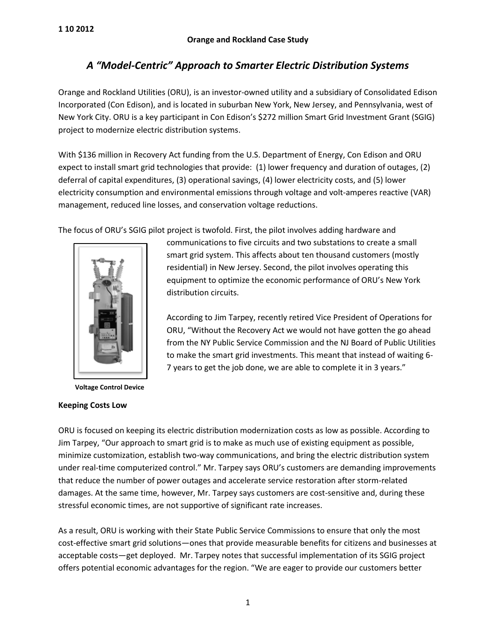# *A "Model-Centric" Approach to Smarter Electric Distribution Systems*

Orange and Rockland Utilities (ORU), is an investor-owned utility and a subsidiary of Consolidated Edison Incorporated (Con Edison), and is located in suburban New York, New Jersey, and Pennsylvania, west of New York City. ORU is a key participant in Con Edison's \$272 million Smart Grid Investment Grant (SGIG) project to modernize electric distribution systems.

With \$136 million in Recovery Act funding from the U.S. Department of Energy, Con Edison and ORU expect to install smart grid technologies that provide: (1) lower frequency and duration of outages, (2) deferral of capital expenditures, (3) operational savings, (4) lower electricity costs, and (5) lower electricity consumption and environmental emissions through voltage and volt-amperes reactive (VAR) management, reduced line losses, and conservation voltage reductions.

The focus of ORU's SGIG pilot project is twofold. First, the pilot involves adding hardware and



**Voltage Control Device**

## **Keeping Costs Low**

communications to five circuits and two substations to create a small smart grid system. This affects about ten thousand customers (mostly residential) in New Jersey. Second, the pilot involves operating this equipment to optimize the economic performance of ORU's New York distribution circuits.

According to Jim Tarpey, recently retired Vice President of Operations for ORU, "Without the Recovery Act we would not have gotten the go ahead from the NY Public Service Commission and the NJ Board of Public Utilities to make the smart grid investments. This meant that instead of waiting 6- 7 years to get the job done, we are able to complete it in 3 years."

ORU is focused on keeping its electric distribution modernization costs as low as possible. According to Jim Tarpey, "Our approach to smart grid is to make as much use of existing equipment as possible, minimize customization, establish two-way communications, and bring the electric distribution system under real-time computerized control." Mr. Tarpey says ORU's customers are demanding improvements that reduce the number of power outages and accelerate service restoration after storm-related damages. At the same time, however, Mr. Tarpey says customers are cost-sensitive and, during these stressful economic times, are not supportive of significant rate increases.

As a result, ORU is working with their State Public Service Commissions to ensure that only the most cost-effective smart grid solutions—ones that provide measurable benefits for citizens and businesses at acceptable costs—get deployed. Mr. Tarpey notes that successful implementation of its SGIG project offers potential economic advantages for the region. "We are eager to provide our customers better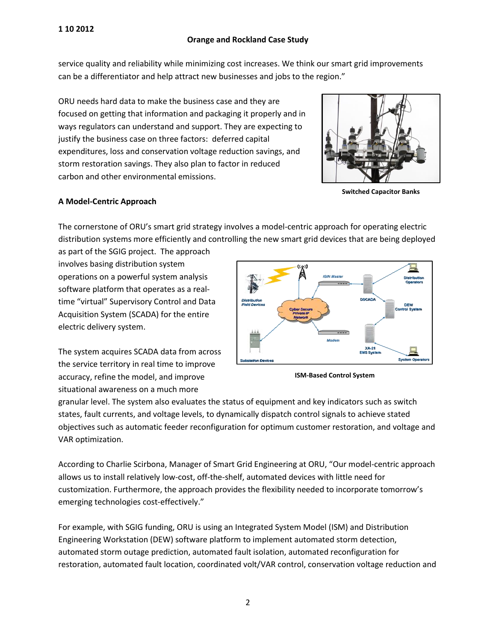## **Orange and Rockland Case Study**

service quality and reliability while minimizing cost increases. We think our smart grid improvements can be a differentiator and help attract new businesses and jobs to the region."

ORU needs hard data to make the business case and they are focused on getting that information and packaging it properly and in ways regulators can understand and support. They are expecting to justify the business case on three factors: deferred capital expenditures, loss and conservation voltage reduction savings, and storm restoration savings. They also plan to factor in reduced carbon and other environmental emissions.



**Switched Capacitor Banks**

# **A Model-Centric Approach**

The cornerstone of ORU's smart grid strategy involves a model-centric approach for operating electric distribution systems more efficiently and controlling the new smart grid devices that are being deployed

as part of the SGIG project. The approach involves basing distribution system operations on a powerful system analysis software platform that operates as a realtime "virtual" Supervisory Control and Data Acquisition System (SCADA) for the entire electric delivery system.

The system acquires SCADA data from across the service territory in real time to improve accuracy, refine the model, and improve situational awareness on a much more



**ISM-Based Control System**

granular level. The system also evaluates the status of equipment and key indicators such as switch states, fault currents, and voltage levels, to dynamically dispatch control signals to achieve stated objectives such as automatic feeder reconfiguration for optimum customer restoration, and voltage and VAR optimization.

allows us to install relatively low-cost, off-the-shelf, automated devices with little need for According to Charlie Scirbona, Manager of Smart Grid Engineering at ORU, "Our model-centric approach customization. Furthermore, the approach provides the flexibility needed to incorporate tomorrow's emerging technologies cost-effectively."

For example, with SGIG funding, ORU is using an Integrated System Model (ISM) and Distribution Engineering Workstation (DEW) software platform to implement automated storm detection, automated storm outage prediction, automated fault isolation, automated reconfiguration for restoration, automated fault location, coordinated volt/VAR control, conservation voltage reduction and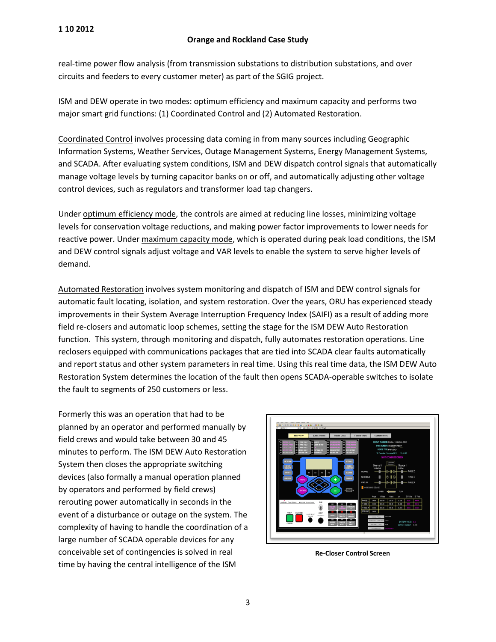real-time power flow analysis (from transmission substations to distribution substations, and over circuits and feeders to every customer meter) as part of the SGIG project.

ISM and DEW operate in two modes: optimum efficiency and maximum capacity and performs two major smart grid functions: (1) Coordinated Control and (2) Automated Restoration.

Coordinated Control involves processing data coming in from many sources including Geographic Information Systems, Weather Services, Outage Management Systems, Energy Management Systems, and SCADA. After evaluating system conditions, ISM and DEW dispatch control signals that automatically manage voltage levels by turning capacitor banks on or off, and automatically adjusting other voltage control devices, such as regulators and transformer load tap changers.

Under optimum efficiency mode, the controls are aimed at reducing line losses, minimizing voltage levels for conservation voltage reductions, and making power factor improvements to lower needs for reactive power. Under maximum capacity mode, which is operated during peak load conditions, the ISM and DEW control signals adjust voltage and VAR levels to enable the system to serve higher levels of demand.

Automated Restoration involves system monitoring and dispatch of ISM and DEW control signals for automatic fault locating, isolation, and system restoration. Over the years, ORU has experienced steady improvements in their System Average Interruption Frequency Index (SAIFI) as a result of adding more field re-closers and automatic loop schemes, setting the stage for the ISM DEW Auto Restoration function. This system, through monitoring and dispatch, fully automates restoration operations. Line reclosers equipped with communications packages that are tied into SCADA clear faults automatically and report status and other system parameters in real time. Using this real time data, the ISM DEW Auto Restoration System determines the location of the fault then opens SCADA-operable switches to isolate the fault to segments of 250 customers or less.

Formerly this was an operation that had to be planned by an operator and performed manually by field crews and would take between 30 and 45 minutes to perform. The ISM DEW Auto Restoration System then closes the appropriate switching devices (also formally a manual operation planned by operators and performed by field crews) rerouting power automatically in seconds in the event of a disturbance or outage on the system. The complexity of having to handle the coordination of a large number of SCADA operable devices for any conceivable set of contingencies is solved in real time by having the central intelligence of the ISM



**Re-Closer Control Screen**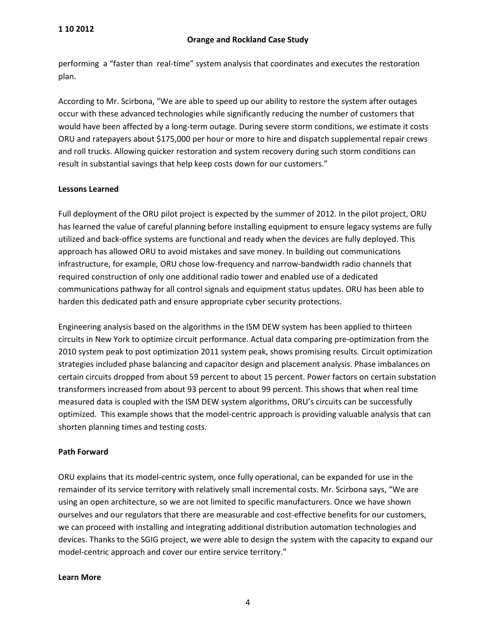performing a "faster than real-time" system analysis that coordinates and executes the restoration plan.

According to Mr. Scirbona, "We are able to speed up our ability to restore the system after outages occur with these advanced technologies while significantly reducing the number of customers that would have been affected by a long-term outage. During severe storm conditions, we estimate it costs ORU and ratepayers about \$175,000 per hour or more to hire and dispatch supplemental repair crews and roll trucks. Allowing quicker restoration and system recovery during such storm conditions can result in substantial savings that help keep costs down for our customers."

### **Lessons Learned**

Full deployment of the ORU pilot project is expected by the summer of 2012. In the pilot project, ORU has learned the value of careful planning before installing equipment to ensure legacy systems are fully utilized and back-office systems are functional and ready when the devices are fully deployed. This approach has allowed ORU to avoid mistakes and save money. In building out communications infrastructure, for example, ORU chose low-frequency and narrow-bandwidth radio channels that required construction of only one additional radio tower and enabled use of a dedicated communications pathway for all control signals and equipment status updates. ORU has been able to harden this dedicated path and ensure appropriate cyber security protections.

Engineering analysis based on the algorithms in the ISM DEW system has been applied to thirteen circuits in New York to optimize circuit performance. Actual data comparing pre-optimization from the 2010 system peak to post optimization 2011 system peak, shows promising results. Circuit optimization strategies included phase balancing and capacitor design and placement analysis. Phase imbalances on certain circuits dropped from about 59 percent to about 15 percent. Power factors on certain substation transformers increased from about 93 percent to about 99 percent. This shows that when real time measured data is coupled with the ISM DEW system algorithms, ORU's circuits can be successfully optimized. This example shows that the model-centric approach is providing valuable analysis that can shorten planning times and testing costs.

#### **Path Forward**

ORU explains that its model-centric system, once fully operational, can be expanded for use in the remainder of its service territory with relatively small incremental costs. Mr. Scirbona says, "We are using an open architecture, so we are not limited to specific manufacturers. Once we have shown ourselves and our regulators that there are measurable and cost-effective benefits for our customers, we can proceed with installing and integrating additional distribution automation technologies and devices. Thanks to the SGIG project, we were able to design the system with the capacity to expand our model-centric approach and cover our entire service territory."

#### **Learn More**

4